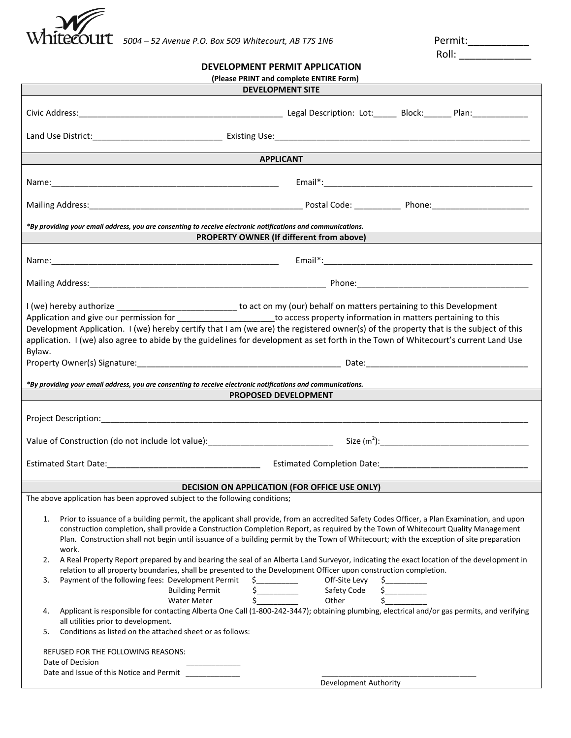

Roll: \_\_\_\_\_\_\_\_\_\_\_\_\_

| DEVELOPMENT PERMIT APPLICATION          |
|-----------------------------------------|
| (Blocco BRINT and complete ENTIBE Form) |

| (Please PRINT and complete ENTIRE Form)                                                                                                                                                                                                                                                                                                                                                                                                                                                                                                                                                                                                                                                                                                                                                                                                                                                                                                                                                                                                                                                                                                                    |  |  |  |  |  |
|------------------------------------------------------------------------------------------------------------------------------------------------------------------------------------------------------------------------------------------------------------------------------------------------------------------------------------------------------------------------------------------------------------------------------------------------------------------------------------------------------------------------------------------------------------------------------------------------------------------------------------------------------------------------------------------------------------------------------------------------------------------------------------------------------------------------------------------------------------------------------------------------------------------------------------------------------------------------------------------------------------------------------------------------------------------------------------------------------------------------------------------------------------|--|--|--|--|--|
| <b>DEVELOPMENT SITE</b>                                                                                                                                                                                                                                                                                                                                                                                                                                                                                                                                                                                                                                                                                                                                                                                                                                                                                                                                                                                                                                                                                                                                    |  |  |  |  |  |
|                                                                                                                                                                                                                                                                                                                                                                                                                                                                                                                                                                                                                                                                                                                                                                                                                                                                                                                                                                                                                                                                                                                                                            |  |  |  |  |  |
|                                                                                                                                                                                                                                                                                                                                                                                                                                                                                                                                                                                                                                                                                                                                                                                                                                                                                                                                                                                                                                                                                                                                                            |  |  |  |  |  |
| <b>APPLICANT</b>                                                                                                                                                                                                                                                                                                                                                                                                                                                                                                                                                                                                                                                                                                                                                                                                                                                                                                                                                                                                                                                                                                                                           |  |  |  |  |  |
|                                                                                                                                                                                                                                                                                                                                                                                                                                                                                                                                                                                                                                                                                                                                                                                                                                                                                                                                                                                                                                                                                                                                                            |  |  |  |  |  |
|                                                                                                                                                                                                                                                                                                                                                                                                                                                                                                                                                                                                                                                                                                                                                                                                                                                                                                                                                                                                                                                                                                                                                            |  |  |  |  |  |
| *By providing your email address, you are consenting to receive electronic notifications and communications.<br><b>PROPERTY OWNER (If different from above)</b>                                                                                                                                                                                                                                                                                                                                                                                                                                                                                                                                                                                                                                                                                                                                                                                                                                                                                                                                                                                            |  |  |  |  |  |
|                                                                                                                                                                                                                                                                                                                                                                                                                                                                                                                                                                                                                                                                                                                                                                                                                                                                                                                                                                                                                                                                                                                                                            |  |  |  |  |  |
|                                                                                                                                                                                                                                                                                                                                                                                                                                                                                                                                                                                                                                                                                                                                                                                                                                                                                                                                                                                                                                                                                                                                                            |  |  |  |  |  |
|                                                                                                                                                                                                                                                                                                                                                                                                                                                                                                                                                                                                                                                                                                                                                                                                                                                                                                                                                                                                                                                                                                                                                            |  |  |  |  |  |
| I (we) hereby authorize _________________________________ to act on my (our) behalf on matters pertaining to this Development<br>Application and give our permission for ____________________________to access property information in matters pertaining to this<br>Development Application. I (we) hereby certify that I am (we are) the registered owner(s) of the property that is the subject of this<br>application. I (we) also agree to abide by the guidelines for development as set forth in the Town of Whitecourt's current Land Use<br>Bylaw.                                                                                                                                                                                                                                                                                                                                                                                                                                                                                                                                                                                                |  |  |  |  |  |
| *By providing your email address, you are consenting to receive electronic notifications and communications.                                                                                                                                                                                                                                                                                                                                                                                                                                                                                                                                                                                                                                                                                                                                                                                                                                                                                                                                                                                                                                               |  |  |  |  |  |
| <b>PROPOSED DEVELOPMENT</b>                                                                                                                                                                                                                                                                                                                                                                                                                                                                                                                                                                                                                                                                                                                                                                                                                                                                                                                                                                                                                                                                                                                                |  |  |  |  |  |
|                                                                                                                                                                                                                                                                                                                                                                                                                                                                                                                                                                                                                                                                                                                                                                                                                                                                                                                                                                                                                                                                                                                                                            |  |  |  |  |  |
|                                                                                                                                                                                                                                                                                                                                                                                                                                                                                                                                                                                                                                                                                                                                                                                                                                                                                                                                                                                                                                                                                                                                                            |  |  |  |  |  |
|                                                                                                                                                                                                                                                                                                                                                                                                                                                                                                                                                                                                                                                                                                                                                                                                                                                                                                                                                                                                                                                                                                                                                            |  |  |  |  |  |
| <b>DECISION ON APPLICATION (FOR OFFICE USE ONLY)</b>                                                                                                                                                                                                                                                                                                                                                                                                                                                                                                                                                                                                                                                                                                                                                                                                                                                                                                                                                                                                                                                                                                       |  |  |  |  |  |
| The above application has been approved subject to the following conditions;                                                                                                                                                                                                                                                                                                                                                                                                                                                                                                                                                                                                                                                                                                                                                                                                                                                                                                                                                                                                                                                                               |  |  |  |  |  |
| Prior to issuance of a building permit, the applicant shall provide, from an accredited Safety Codes Officer, a Plan Examination, and upon<br>1.<br>construction completion, shall provide a Construction Completion Report, as required by the Town of Whitecourt Quality Management<br>Plan. Construction shall not begin until issuance of a building permit by the Town of Whitecourt; with the exception of site preparation<br>work.<br>A Real Property Report prepared by and bearing the seal of an Alberta Land Surveyor, indicating the exact location of the development in<br>2.<br>relation to all property boundaries, shall be presented to the Development Officer upon construction completion.<br>Payment of the following fees: Development Permit<br>Off-Site Levy<br>3.<br>$\frac{1}{2}$<br><b>Building Permit</b><br>Safety Code<br>\$<br><b>Water Meter</b><br>Other<br>Applicant is responsible for contacting Alberta One Call (1-800-242-3447); obtaining plumbing, electrical and/or gas permits, and verifying<br>4.<br>all utilities prior to development.<br>Conditions as listed on the attached sheet or as follows:<br>5. |  |  |  |  |  |
| REFUSED FOR THE FOLLOWING REASONS:<br>Date of Decision<br>Date and Issue of this Notice and Permit _____________<br>Development Authority                                                                                                                                                                                                                                                                                                                                                                                                                                                                                                                                                                                                                                                                                                                                                                                                                                                                                                                                                                                                                  |  |  |  |  |  |